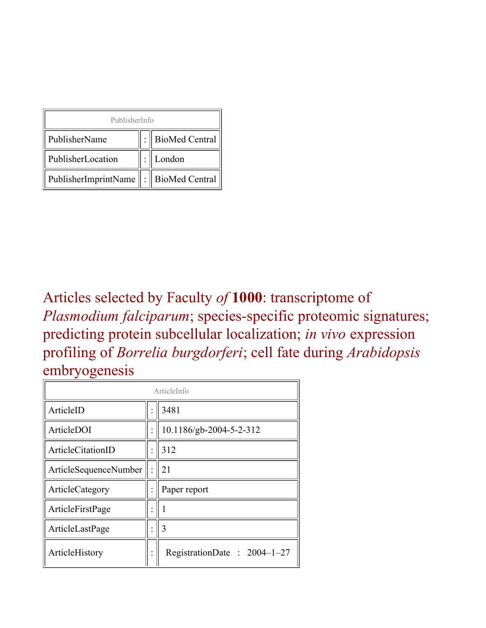| PublisherInfo                               |  |                    |  |  |
|---------------------------------------------|--|--------------------|--|--|
| PublisherName                               |  | :   BioMed Central |  |  |
| PublisherLocation                           |  | London             |  |  |
| PublisherImprintName    :    BioMed Central |  |                    |  |  |

Articles selected by Faculty *of* **1000**: transcriptome of *Plasmodium falciparum*; species-specific proteomic signatures; predicting protein subcellular localization; *in vivo* expression profiling of *Borrelia burgdorferi*; cell fate during *Arabidopsis* embryogenesis

| ArticleInfo           |  |                               |
|-----------------------|--|-------------------------------|
| ArticleID             |  | 3481                          |
| ArticleDOI            |  | 10.1186/gb-2004-5-2-312       |
| ArticleCitationID     |  | 312                           |
| ArticleSequenceNumber |  | 21                            |
| ArticleCategory       |  | Paper report                  |
| ArticleFirstPage      |  |                               |
| ArticleLastPage       |  | 3                             |
| ArticleHistory        |  | RegistrationDate: $2004-1-27$ |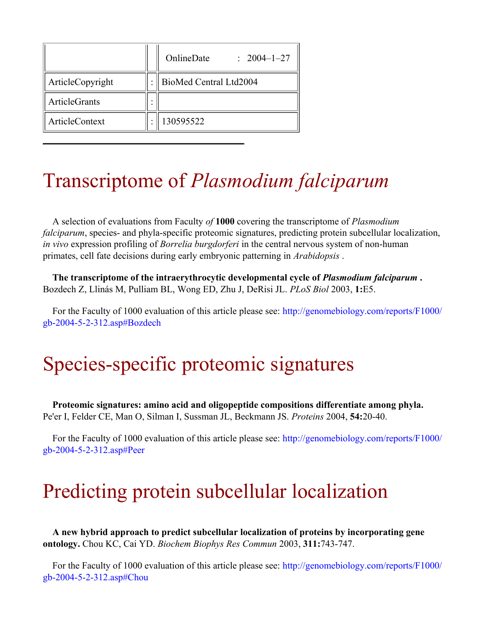|                  | OnlineDate<br>$: 2004 - 1 - 27$ |
|------------------|---------------------------------|
| ArticleCopyright | BioMed Central Ltd2004          |
| ArticleGrants    |                                 |
| ArticleContext   | 130595522                       |

#### Transcriptome of *Plasmodium falciparum*

A selection of evaluations from Faculty *of* **1000** covering the transcriptome of *Plasmodium falciparum*, species- and phyla-specific proteomic signatures, predicting protein subcellular localization, *in vivo* expression profiling of *Borrelia burgdorferi* in the central nervous system of non-human primates, cell fate decisions during early embryonic patterning in *Arabidopsis* .

**The transcriptome of the intraerythrocytic developmental cycle of** *Plasmodium falciparum* **.** Bozdech Z, Llinás M, Pulliam BL, Wong ED, Zhu J, DeRisi JL. *PLoS Biol* 2003, **1:**E5.

For the Faculty of 1000 evaluation of this article please see: [http://genomebiology.com/reports/F1000/](http://genomebiology.com/reports/F1000/gb-2004-5-2-312.asp#Bozdech) [gb-2004-5-2-312.asp#Bozdech](http://genomebiology.com/reports/F1000/gb-2004-5-2-312.asp#Bozdech)

# Species-specific proteomic signatures

**Proteomic signatures: amino acid and oligopeptide compositions differentiate among phyla.** Pe'er I, Felder CE, Man O, Silman I, Sussman JL, Beckmann JS. *Proteins* 2004, **54:**20-40.

For the Faculty of 1000 evaluation of this article please see: [http://genomebiology.com/reports/F1000/](http://genomebiology.com/reports/F1000/gb-2004-5-2-312.asp#Peer) [gb-2004-5-2-312.asp#Peer](http://genomebiology.com/reports/F1000/gb-2004-5-2-312.asp#Peer)

## Predicting protein subcellular localization

**A new hybrid approach to predict subcellular localization of proteins by incorporating gene ontology.** Chou KC, Cai YD. *Biochem Biophys Res Commun* 2003, **311:**743-747.

For the Faculty of 1000 evaluation of this article please see: [http://genomebiology.com/reports/F1000/](http://genomebiology.com/reports/F1000/gb-2004-5-2-312.asp#Chou) [gb-2004-5-2-312.asp#Chou](http://genomebiology.com/reports/F1000/gb-2004-5-2-312.asp#Chou)